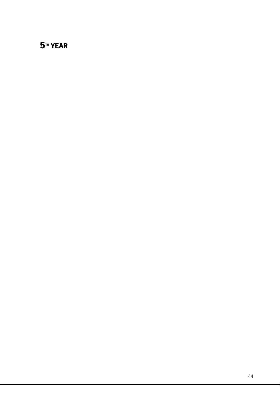# **5<sup>TH</sup> YEAR**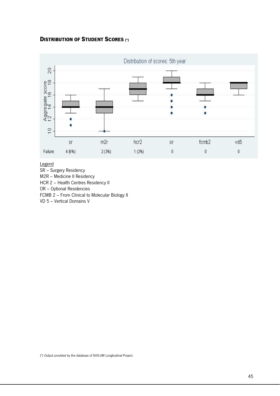### DISTRIBUTION OF STUDENT SCORES (\*)



Legend

- SR Surgery Residency
- M2R Medicine II Residency
- HCR 2 Health Centres Residency II

OR – Optional Residencies

FCMB 2 – From Clinical to Molecular Biology II

VD 5 – Vertical Domains V

(\*) Output provided by the database of SHS-UM Longitudinal Project.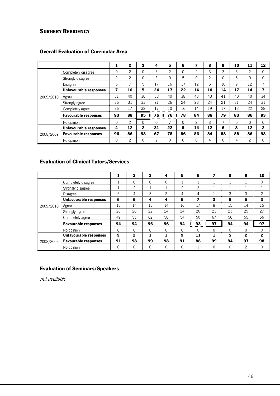## **SURGERY RESIDENCY**

|           |                               | 1              | 2  | 3            | 4        | 5              | 6        | 7              | 8              | 9                        | 10       | 11             | 12           |
|-----------|-------------------------------|----------------|----|--------------|----------|----------------|----------|----------------|----------------|--------------------------|----------|----------------|--------------|
|           | Completely disagree           | 0              | 2  | 0            | 3        | $\overline{2}$ | $\Omega$ | $\mathfrak{p}$ | 3              | 3                        | 3        | $\overline{c}$ | 0            |
|           | Strongly disagree             | $\overline{2}$ | 2  | $\Omega$     | 3        | $\Omega$       | 5        | 0              | $\overline{2}$ | $\Omega$                 | 5        | 0              | 0            |
|           | Disagree                      | 5              | 7  | 5            | 17       | 16             | 17       | 12             | 5              | 10                       | 9        | 12             | 7            |
|           | <b>Unfavourable responses</b> | 7              | 10 | 5            | 24       | 17             | 22       | 14             | 10             | 14                       | 17       | 14             | 7            |
| 2009/2010 | Agree                         | 31             | 40 | 30           | 38       | 40             | 38       | 43             | 43             | 41                       | 40       | 40             | 34           |
|           | Strongly agree                | 36             | 31 | 33           | 21       | 26             | 24       | 28             | 24             | 21                       | 31       | 24             | 31           |
|           | Completely agree              | 26             | 17 | 32           | 17       | 10             | 16       | 14             | 19             | 17                       | 12       | 22             | 28           |
|           | <b>Favourable responses</b>   | 93             | 88 | 95           | 76       | 76             | 78       | 84             | 86             | 79                       | 83       | 86             | 93           |
|           | No opinion                    | 0              | 2  | $\Omega$     | $\Omega$ | 7              | $\Omega$ | $\mathfrak{p}$ | 3              | $\overline{\phantom{0}}$ | $\Omega$ | $\Omega$       | $\mathbf{0}$ |
| 2008/2009 | <b>Unfavourable responses</b> | 4              | 12 | $\mathbf{z}$ | 31       | 22             | 8        | 14             | 12             | 6                        | 8        | 12             | $\mathbf{2}$ |
|           | <b>Favourable responses</b>   | 96             | 86 | 98           | 67       | 78             | 86       | 86             | 84             | 88                       | 88       | 86             | 98           |
|           | No opinion                    | 0              | 2  | 0            | 2        | 0              | 6        | 0              | 4              | 6                        | 4        | $\overline{c}$ | $\mathbf{0}$ |

## Overall Evaluation of Curricular Area

#### Evaluation of Clinical Tutors/Services

|           |                               |    | $\mathbf{2}$   | 3            | 4              | 5            | 6              | 7        | 8        | 9        | 10           |
|-----------|-------------------------------|----|----------------|--------------|----------------|--------------|----------------|----------|----------|----------|--------------|
|           | Completely disagree           |    | 0              | $\mathbf{0}$ | 0              |              |                |          |          |          | $\mathbf{0}$ |
|           | Strongly disagree             |    | $\overline{c}$ |              |                | 2            | $\overline{2}$ |          |          |          |              |
|           | <b>Disagree</b>               | 5  | 4              | 3            | $\overline{2}$ | 4            | 4              |          | 3        | 3        | 2            |
|           | <b>Unfavourable responses</b> | 6  | 6              | 4            | 4              | 6            | 7              | 3        | 6        | 5        | 3            |
| 2009/2010 | Agree                         | 18 | 14             | 13           | 14             | 16           | 17             | 8        | 15       | 14       | 15           |
|           | Strongly agree                | 26 | 26             | 22           | 24             | 24           | 26             | 21       | 23       | 25       | 27           |
|           | Completely agree              | 49 | 55             | 62           | 58             | 54           | 50             | 67       | 56       | 55       | 56           |
|           | <b>Favourable responses</b>   | 94 | 94             | 96           | 96             | 94           | 93             | 97       | 94       | 94       | 97           |
|           | No opinion                    | 0  | $\Omega$       | $\Omega$     | $\Omega$       | $\Omega$     | $\Omega$       | $\Omega$ | $\Omega$ | $\Omega$ | $\Omega$     |
|           | <b>Unfavourable responses</b> | 9  | $\mathbf{2}$   | 1            | 1              | 9            | 11             |          | 5        | 2        | 2            |
| 2008/2009 | <b>Favourable responses</b>   | 91 | 98             | 99           | 98             | 91           | 88             | 99       | 94       | 97       | 98           |
|           | No opinion                    | 0  | 0              | $\mathbf{0}$ | 0              | $\mathbf{0}$ |                | $\Omega$ | 0        | 2        | $\mathbf{0}$ |

#### Evaluation of Seminars/Speakers

not available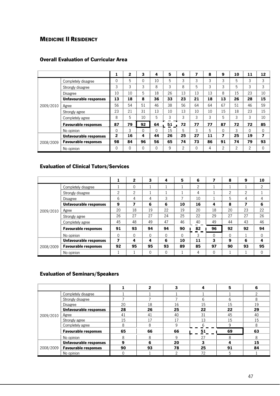## MEDICINE II RESIDENCY

|           |                               | 1            | $\mathbf{2}$ | 3  | 4        | 5  | 6  | 7  | 8  | 9        | 10 | 11       | 12 |
|-----------|-------------------------------|--------------|--------------|----|----------|----|----|----|----|----------|----|----------|----|
|           | Completely disagree           | 0            | 5            | 0  | 10       | 5  | 3  | 3  | 3  | 3        | 5  | 3        | 3  |
|           | Strongly disagree             | 3            | 3            | 3  | 8        | 3  | 8  | 5  | 3  | 3        | 5  | 3        | 3  |
|           | Disagree                      | 10           | 10           | 5  | 18       | 26 | 13 | 13 | 13 | 8        | 15 | 23       | 10 |
|           | <b>Unfavourable responses</b> | 13           | 18           | 8  | 36       | 33 | 23 | 21 | 18 | 13       | 26 | 28       | 15 |
| 2009/2010 | Agree                         | 56           | 54           | 51 | 46       | 38 | 56 | 64 | 64 | 67       | 51 | 46       | 59 |
|           | Strongly agree                | 23           | 21           | 31 | 13       | 10 | 13 | 10 | 10 | 15       | 18 | 23       | 15 |
|           | Completely agree              | 8            | 5            | 10 | 5        | 3  | 3  | 3  | 3  | 5        | 3  | 3        | 10 |
|           | <b>Favourable responses</b>   | 87           | 79           | 92 | 64       | 51 | 72 | 77 | 77 | 87       | 72 | 72       | 85 |
|           | No opinion                    | $\Omega$     | 3            | 0  | $\Omega$ | 15 | 5  | 3  | 5  | $\Omega$ | 3  | $\Omega$ | 0  |
| 2008/2009 | <b>Unfavourable responses</b> | $\mathbf{2}$ | 16           | 4  | 44       | 26 | 25 | 27 | 11 | 7        | 25 | 19       | 7  |
|           | <b>Favourable responses</b>   | 98           | 84           | 96 | 56       | 65 | 74 | 73 | 86 | 91       | 74 | 79       | 93 |
|           | No opinion                    | 0            | $\mathbf{0}$ | 0  | 0        | 9  | 2  | 0  | 4  | 2        | 2  | 2        | 0  |

#### Overall Evaluation of Curricular Area

## Evaluation of Clinical Tutors/Services

|           |                               |    | $\mathbf{2}$   | 3            | 4        | 5        | 6  | $\overline{ }$ | 8  | 9  | 10           |
|-----------|-------------------------------|----|----------------|--------------|----------|----------|----|----------------|----|----|--------------|
|           | Completely disagree           |    | 0              |              |          |          | 2  |                |    |    | 2            |
|           | Strongly disagree             | 2  | $\overline{2}$ |              |          |          | 4  |                | 2  | 2  |              |
| 2009/2010 | <b>Disagree</b>               | 6  | 4              | 4            | 3        | ⇁        | 10 |                | 5  | 4  | 4            |
|           | <b>Unfavourable responses</b> | 9  | 7              | 6            | 6        | 10       | 16 | 4              | 8  | 7  | 6            |
|           | Agree                         | 20 | 18             | 19           | 22       | 19       | 20 | 18             | 20 | 23 | 22           |
|           | Strongly agree                | 26 | 27             | 27           | 24       | 25       | 22 | 29             | 27 | 27 | 26           |
|           | Completely agree              | 45 | 48             | 49           | 47       | 46       | 40 | 49             | 44 | 43 | 46           |
|           | <b>Favourable responses</b>   | 91 | 93             | 94           | 94       | 90       | 82 | 96             | 92 | 92 | 94           |
|           | No opinion                    | 0  | $\Omega$       | $\Omega$     | $\Omega$ | $\Omega$ | 3  | $\Omega$       | 0  |    | $\Omega$     |
|           | <b>Unfavourable responses</b> | 7  | 4              | 4            | 6        | 10       | 11 | 3              | 9  | 6  | 4            |
| 2008/2009 | <b>Favourable responses</b>   | 92 | 95             | 95           | 93       | 89       | 85 | 97             | 90 | 93 | 95           |
|           | No opinion                    |    |                | $\mathbf{0}$ | 0        |          | 4  | $\Omega$       |    |    | $\mathbf{0}$ |

#### Evaluation of Seminars/Speakers

|           |                                  |    |    |    |    | 5  | 6  |
|-----------|----------------------------------|----|----|----|----|----|----|
|           | Completely disagree              |    |    |    |    |    |    |
|           | Strongly disagree                |    |    |    | 6  | 6  | 8  |
|           | <b>Disagree</b>                  | 20 | 18 | 16 | 15 | 15 | 19 |
|           | <b>Unfavourable responses</b>    | 28 | 26 | 25 | 22 | 22 | 29 |
| 2009/2010 | Agree                            | 41 | 41 | 40 | 31 | 45 | 40 |
|           | Strongly agree                   | 15 | 17 | 17 | 13 | 15 | 15 |
|           | Completely agree                 | 8  | 8  | q  |    | 9  | 8  |
|           | <b>Favourable responses</b>      | 65 | 66 | 66 | 51 | 69 | 63 |
|           | No opinion                       | 8  | 8  | q  | 27 | 8  | 8  |
|           | <b>Unfavourable responses</b>    | 9  | 6  | 20 | 3  | 4  | 15 |
|           | 2008/2009   Favourable responses | 90 | 93 | 78 | 25 | 91 | 84 |
|           | No opinion                       |    |    | ◠  | 72 | 5  |    |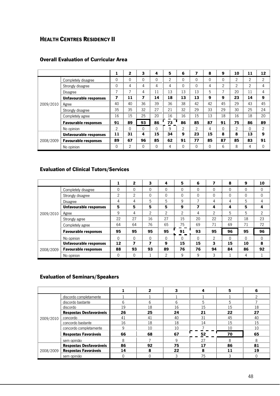## HEALTH CENTRES RESIDENCY II

|           |                               | 1                       | 2              | 3  | 4        | 5              | 6             | 7              | 8            | 9              | 10             | 11             | 12             |
|-----------|-------------------------------|-------------------------|----------------|----|----------|----------------|---------------|----------------|--------------|----------------|----------------|----------------|----------------|
|           | Completely disagree           | 0                       | $\mathbf{0}$   | 0  | 0        | $\overline{2}$ | 0             | $\mathbf{0}$   | $\mathbf{0}$ | $\mathbf{0}$   | 2              | $\overline{c}$ | 2              |
|           | Strongly disagree             | 0                       | 4              | 4  | 4        | 4              | 0             | $\Omega$       | 4            | $\overline{2}$ | $\overline{2}$ | 2              | 4              |
|           | <b>Disagree</b>               | $\overline{7}$          | $\overline{ }$ | 4  | 11       | 13             | 13            | 13             | 5            | 7              | 20             | 11             | 4              |
|           | <b>Unfavourable responses</b> | $\overline{\mathbf{z}}$ | 11             | 7  | 14       | 18             | 13            | 13             | 9            | 9              | 23             | 14             | 9              |
| 2009/2010 | Agree                         | 40                      | 40             | 36 | 39       | 36             | 38            | 42             | 42           | 45             | 29             | 43             | 45             |
|           | Strongly disagree             | 35                      | 35             | 32 | 27       | 21             | 32            | 29             | 33           | 29             | 30             | 25             | 24             |
|           | Completely agree              | 16                      | 15             | 25 | 20       | 16             | 16            | 15             | 13           | 18             | 16             | 18             | 20             |
|           | <b>Favourable responses</b>   | 91                      | 89             | 93 | 86       | 73             | 86            | 85             | 87           | 91             | 75             | 86             | 89             |
|           | No opinion                    | $\overline{2}$          | $\Omega$       | 0  | $\Omega$ | 9              | $\mathcal{P}$ | $\mathfrak{p}$ | 4            | $\Omega$       | $\mathfrak{p}$ | $\Omega$       | $\overline{c}$ |
| 2008/2009 | <b>Unfavourable responses</b> | 11                      | 31             | 4  | 15       | 34             | 9             | 23             | 15           | 8              | 8              | 13             | 9              |
|           | <b>Favourable responses</b>   | 89                      | 67             | 96 | 85       | 62             | 91            | 77             | 85           | 87             | 85             | 83             | 91             |
|           | No opinion                    | $\Omega$                | 2              | 0  | 0        | 4              | $\Omega$      | $\Omega$       | $\mathbf{0}$ | 6              | 8              | 4              | $\Omega$       |

#### Overall Evaluation of Curricular Area

## Evaluation of Clinical Tutors/Services

|           |                               |              | $\mathbf{z}$ | 3              | 4              | 5              | 6        | 7  | 8        | 9            | 10             |
|-----------|-------------------------------|--------------|--------------|----------------|----------------|----------------|----------|----|----------|--------------|----------------|
|           | Completely disagree           | 0            | 0            | $\Omega$       | 0              | $\mathbf{0}$   | 0        | 0  | $\Omega$ | $\mathbf{0}$ | 0              |
|           | Strongly disagree             | 2            | 2            | $\mathbf{0}$   | 0              | $\mathbf 0$    | 0        | 0  | 0        | 0            | 0              |
|           | Disagree                      | 4            | 4            | 5              | 5              | 9              |          | 4  | 4        | 5            | 4              |
|           | Unfavourable responses        | 5            | 5            | 5              | 5              | 9              | 7        | 4  | 4        | 5            | 4              |
| 2009/2010 | Agree                         | 9            | 4            | $\overline{2}$ | $\overline{2}$ | $\overline{2}$ | 4        | 2  | 5        | 5            | $\overline{2}$ |
|           | Strongly agree                | 22           | 27           | 16             | 27             | 15             | 20       | 22 | 22       | 18           | 23             |
|           | Completely agree              | 64           | 64           | 76             | 65             | 75             | 69       | 71 | 69       | 71           | 72             |
|           | <b>Favourable responses</b>   | 95           | 95           | 95             | 95             | 91             | 93       | 95 | 96       | 95           | 96             |
|           | No opinion                    | $\mathbf{0}$ | 0            | $\Omega$       | $\Omega$       | $\Omega$       | $\Omega$ | 2  | $\Omega$ | $\Omega$     | $\Omega$       |
| 2008/2009 | <b>Unfavourable responses</b> | 12           | 7            | 7              | 9              | 15             | 15       | 3  | 15       | 10           | 8              |
|           | <b>Favourable responses</b>   | 88           | 93           | 93             | 89             | 76             | 76       | 94 | 84       | 86           | 92             |
|           | No opinion                    | 0            | 0            |                | 2              | 9              | 9        | 3  |          | 4            |                |

#### Evaluation of Seminars/Speakers

|           |                             |    |    | 3  |    | 5  | 6  |
|-----------|-----------------------------|----|----|----|----|----|----|
|           | discordo completamente      |    |    |    |    |    |    |
|           | discordo bastante           | 6  | 6  | 6  | 5  | 5  |    |
|           | discordo                    | 19 | 18 | 16 | 15 | 15 | 18 |
|           | Respostas Desfavoráveis     | 26 | 25 | 24 | 21 | 22 | 27 |
| 2009/2010 | concordo                    | 41 | 41 | 40 | 31 | 45 | 40 |
|           | concordo bastante           | 16 | 18 | 18 | 14 | 15 | 15 |
|           | concordo completamente      | 9  | 10 | 10 |    | 10 | 10 |
|           | <b>Respostas Favoráveis</b> | 66 | 68 | 67 | 52 | 70 | 65 |
|           | sem opinião                 | 8  |    | q  | 27 | 8  | 8  |
|           | Respostas Desfavoráveis     | 86 | 92 | 75 | 17 | 86 | 81 |
| 2008/2009 | Respostas Favoráveis        | 14 | 8  | 22 | ጸ  | 11 | 19 |
|           | sem opinião                 |    | 0  |    | 75 | 3  |    |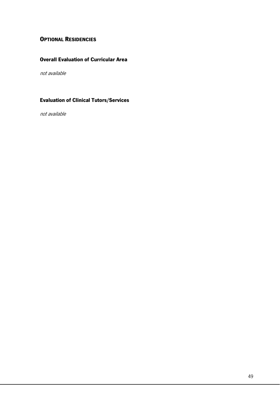## **OPTIONAL RESIDENCIES**

## Overall Evaluation of Curricular Area

not available

#### Evaluation of Clinical Tutors/Services

not available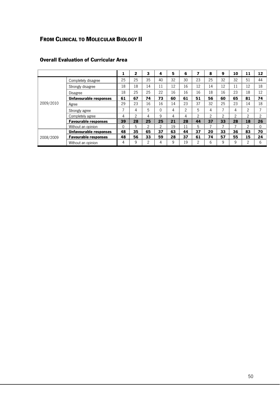# FROM CLINICAL TO MOLECULAR BIOLOGY II

|           |                               |    | $\mathbf{z}$ | 3              | 4            | 5  | 6  | 7              | 8              | 9  | 10 | 11             | 12 <sup>7</sup> |
|-----------|-------------------------------|----|--------------|----------------|--------------|----|----|----------------|----------------|----|----|----------------|-----------------|
|           | Completely disagree           | 25 | 25           | 35             | 40           | 32 | 30 | 23             | 25             | 32 | 32 | 51             | 44              |
|           | Strongly disagree             | 18 | 18           | 14             | 11           | 12 | 16 | 12             | 14             | 12 | 11 | 12             | 18              |
|           | Disagree                      | 18 | 25           | 25             | 22           | 16 | 16 | 16             | 18             | 16 | 23 | 18             | 12              |
|           | Unfavourable responses        | 61 | 67           | 74             | 73           | 60 | 61 | 51             | 56             | 60 | 65 | 81             | 74              |
| 2009/2010 | Agree                         | 29 | 23           | 16             | 16           | 14 | 23 | 37             | 32             | 25 | 23 | 14             | 18              |
|           | Strongly agree                | 7  | 4            | 5              | $\mathbf{0}$ | 4  | 2  | 5              | 4              | ⇁  | 4  | 2              |                 |
|           | Completely agree              | 4  | 2            | 4              | 9            | 4  | 4  | $\overline{2}$ | $\overline{2}$ | 2  | 2  | $\overline{2}$ | 2               |
|           | <b>Favourable responses</b>   | 39 | 28           | 25             | 25           | 21 | 28 | 44             | 37             | 33 | 28 | 18             | 26              |
|           | Without an opinion            | 0  | 5            | $\overline{2}$ | 2            | 19 | 11 | 5              | 7              |    |    | $\overline{2}$ | $\Omega$        |
| 2008/2009 | <b>Unfavourable responses</b> | 48 | 35           | 65             | 37           | 63 | 44 | 37             | 20             | 33 | 36 | 83             | 70              |
|           | <b>Favourable responses</b>   | 48 | 56           | 33             | 59           | 28 | 37 | 61             | 74             | 57 | 55 | 15             | 24              |
|           | Without an opinion            | 4  | 9            | $\overline{2}$ | 4            | 9  | 19 | $\overline{2}$ | 6              | 9  | 9  | $\mathcal{P}$  | 6               |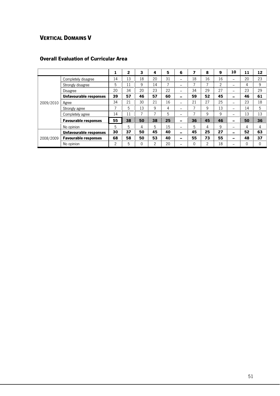# VERTICAL DOMAINS V

|           |                               | ж              | $\mathbf{2}$ | 3  | 4              | 5  | 6  | ⇁                        | 8              | 9              | 10 | 11           | 12           |
|-----------|-------------------------------|----------------|--------------|----|----------------|----|----|--------------------------|----------------|----------------|----|--------------|--------------|
|           | Completely disagree           | 14             | 13           | 18 | 20             | 31 | l  | 18                       | 16             | 16             | -- | 20           | 23           |
|           | Strongly disagree             | 5              | 11           | 9  | 14             | π  |    | ⇁                        | ⇁              | $\overline{2}$ | -- | 4            | 9            |
|           | Disagree                      | 20             | 34           | 20 | 23             | 22 |    | 34                       | 29             | 27             | -- | 23           | 29           |
|           | Unfavourable responses        | 39             | 57           | 46 | 57             | 60 | -- | 59                       | 52             | 45             | -- | 46           | 61           |
| 2009/2010 | Agree                         | 34             | 21           | 30 | 21             | 16 | -- | 21                       | 27             | 25             | -- | 23           | 18           |
|           | Strongly agree                | $\overline{ }$ | 5            | 13 | 9              | 4  |    | $\overline{\phantom{0}}$ | 9              | 13             | -- | 14           | 5            |
|           | Completely agree              | 14             | 11           | 7  | $\overline{ }$ | 5  |    | $\overline{\phantom{a}}$ | 9              | 9              | -- | 13           | 13           |
|           | <b>Favourable responses</b>   | 55             | 38           | 50 | 38             | 25 | -- | 36                       | 45             | 46             | -- | 50           | 36           |
|           | No opinion                    | 5              | 5            | 4  | 5              | 15 |    | 5                        | 4              | 9              | -  | 4            | 4            |
| 2008/2009 | <b>Unfavourable responses</b> | 30             | 37           | 50 | 45             | 40 | -- | 45                       | 25             | 27             | н. | 52           | 63           |
|           | <b>Favourable responses</b>   | 68             | 58           | 50 | 53             | 40 | -- | 55                       | 73             | 55             | -- | 48           | 37           |
|           | No opinion                    | $\overline{2}$ | 5            | 0  | $\overline{c}$ | 20 |    | $\Omega$                 | $\overline{2}$ | 18             | -- | $\mathbf{0}$ | $\mathbf{0}$ |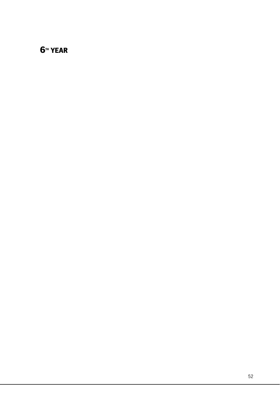# **6TH YEAR**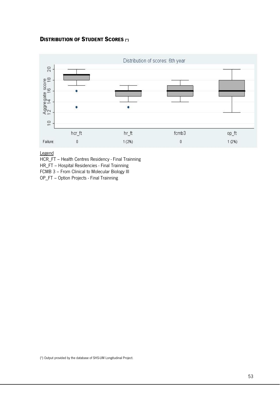#### DISTRIBUTION OF STUDENT SCORES (\*)



Legend

HCR\_FT – Health Centres Residency - Final Trainning

HR\_FT – Hospital Residencies - Final Trainning

FCMB 3 – From Clinical to Molecular Biology III

OP\_FT – Option Projects - Final Trainning

(\*) Output provided by the database of SHS-UM Longitudinal Project.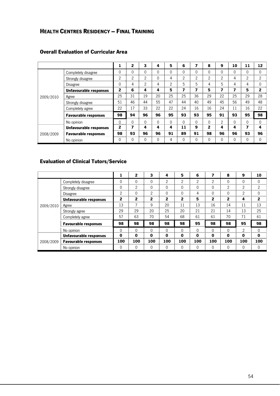# HEALTH CENTRES RESIDENCY – FINAL TRAINING

|           |                               | 1            | $\mathbf{2}$ | 3              | 4        | 5              | 6        | 7           | 8  | 9              | 10           | 11           | 12           |
|-----------|-------------------------------|--------------|--------------|----------------|----------|----------------|----------|-------------|----|----------------|--------------|--------------|--------------|
|           | Completely disagree           | $\Omega$     | 0            | 0              | $\Omega$ | 0              | $\Omega$ | $\Omega$    | 0  | 0              | $\mathbf{0}$ | $\mathbf{0}$ | $\Omega$     |
|           | Strongly disagree             | 2            | 2            | 2              | $\Omega$ | 4              | 2        | 2           | 2  | 2              | 4            | 2            | 2            |
|           | <b>Disagree</b>               | $\Omega$     | 4            | $\mathfrak{p}$ | 4        | $\overline{2}$ | 5        | 5           | 4  | 5              | 4            | 4            | $\Omega$     |
|           | <b>Unfavourable responses</b> | $\mathbf{2}$ | 6            | 4              | 4        | 5              | 7        | 7           | 5  | 7              | 7            | 5            | $\mathbf{2}$ |
| 2009/2010 | Agree                         | 25           | 31           | 19             | 20       | 25             | 25       | 36          | 29 | 22             | 25           | 29           | 28           |
|           | Strongly disagree             | 51           | 46           | 44             | 55       | 47             | 44       | 40          | 49 | 45             | 56           | 49           | 48           |
|           | Completely agree              | 22           | 17           | 33             | 22       | 22             | 24       | 16          | 16 | 24             | 11           | 16           | 22           |
|           | <b>Favourable responses</b>   | 98           | 94           | 96             | 96       | 95             | 93       | 93          | 95 | 91             | 93           | 95           | 98           |
|           | No opinion                    | $\Omega$     | 0            | 0              | $\Omega$ | $\Omega$       | $\Omega$ | $\Omega$    | 0  | $\overline{2}$ | $\Omega$     | $\Omega$     | 0            |
| 2008/2009 | Unfavourable responses        | 2            | 7            | 4              | 4        | 4              | 11       | 9           | 2  | 4              | 4            | 7            | 4            |
|           | <b>Favourable responses</b>   | 98           | 93           | 96             | 96       | 91             | 89       | 91          | 98 | 96             | 96           | 93           | 96           |
|           | No opinion                    | $\Omega$     | 0            | 0              | $\Omega$ | 4              | 0        | $\mathbf 0$ | 0  | 0              | $\mathbf{0}$ | $\mathbf{0}$ | $\Omega$     |

## Overall Evaluation of Curricular Area

### Evaluation of Clinical Tutors/Service

|           |                               | 1            | 2            | 3            | 4            | 5              | 6              | 7              | 8              | 9              | 10             |
|-----------|-------------------------------|--------------|--------------|--------------|--------------|----------------|----------------|----------------|----------------|----------------|----------------|
|           | Completely disagree           | 0            | $\Omega$     | $\mathbf{0}$ | 2            | $\mathfrak{p}$ | $\overline{2}$ | $\overline{2}$ | $\Omega$       | 0              | 0              |
|           | Strongly disagree             | $\mathbf{0}$ | 2            | $\mathbf{0}$ | $\mathbf{0}$ | $\mathbf{0}$   | $\mathbf{0}$   | $\mathbf{0}$   | $\mathfrak{p}$ | $\overline{c}$ | $\overline{2}$ |
|           | Disagree                      | 2            | $\Omega$     | 2            | $\Omega$     | $\Omega$       | 4              | $\Omega$       | $\Omega$       | $\overline{2}$ | $\mathbf{0}$   |
|           | Unfavourable responses        | $\mathbf{2}$ | $\mathbf{2}$ | 2            | $\mathbf{2}$ | 2              | 5              | $\mathbf{2}$   | $\mathbf{2}$   | 4              | $\mathbf{2}$   |
| 2009/2010 | Agree                         | 13           | 7            | 9            | 20           | 11             | 13             | 16             | 14             | 11             | 13             |
|           | Strongly agree                | 29           | 29           | 20           | 25           | 20             | 21             | 21             | 14             | 13             | 25             |
|           | Completely agree              | 57           | 63           | 70           | 54           | 68             | 61             | 61             | 70             | 71             | 61             |
|           | <b>Favourable responses</b>   | 98           | 98           | 98           | 98           | 98             | 95             | 98             | 98             | 95             | 98             |
|           | No opinion                    | $\Omega$     | $\Omega$     | $\Omega$     | $\Omega$     | $\Omega$       | $\Omega$       | $\Omega$       | $\Omega$       | $\mathfrak{D}$ | $\Omega$       |
| 2008/2009 | <b>Unfavourable responses</b> | 0            | 0            | 0            | 0            | $\bf{0}$       | $\bf{0}$       | 0              | $\bf{0}$       | 0              | 0              |
|           | <b>Favourable responses</b>   | 100          | 100          | 100          | 100          | 100            | 100            | 100            | 100            | 100            | 100            |
|           | No opinion                    | 0            | $\mathbf{0}$ | $\mathbf{0}$ | $\mathbf{0}$ | $\mathbf{0}$   | 0              | $\mathbf{0}$   | 0              | 0              | $\mathbf{0}$   |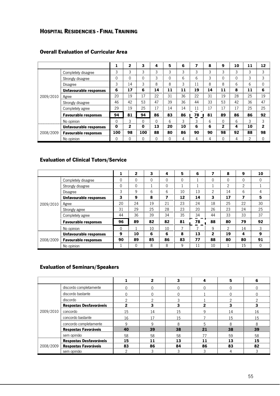## HOSPITAL RESIDENCIES - FINAL TRAINING

|           |                               | ÷.       | $\overline{2}$ | 3        | 4            | 5        | 6  | 7  | 8  | 9            | 10 | 11 | 12           |
|-----------|-------------------------------|----------|----------------|----------|--------------|----------|----|----|----|--------------|----|----|--------------|
|           | Completely disagree           | 3        | 3              | 3        | 3            | 3        | 3  | 3  | 3  | 3            | 3  | 3  | 3            |
|           | Strongly disagree             | 0        | $\Omega$       | 0        | 3            | 0        | 6  | 6  | 3  | 0            | 0  | 3  | 3            |
|           | Disagree                      | 3        | 14             | 3        | 8            | 8        | 3  | 11 | 8  | 8            | 6  | 6  | $\mathbf{0}$ |
|           | Unfavourable responses        | 6        | 17             | 6        | 14           | 11       | 11 | 19 | 14 | 11           | 8  | 11 | 6            |
| 2009/2010 | Agree                         | 20       | 19             | 17       | 22           | 31       | 36 | 22 | 31 | 19           | 28 | 25 | 19           |
|           | Strongly disagree             | 46       | 42             | 53       | 47           | 39       | 36 | 44 | 33 | 53           | 42 | 36 | 47           |
|           | Completely agree              | 29       | 19             | 25       | 17           | 14       | 14 | 11 | 17 | 17           | 17 | 25 | 25           |
|           | <b>Favourable responses</b>   | 94       | 81             | 94       | 86           | 83       | 86 | 78 | 81 | 89           | 86 | 86 | 92           |
|           | No opinion                    | 0        | 3              | 0        | 0            | 6        | 3  | 3  | 6  | 0            | 6  | 3  | 3            |
| 2008/2009 | <b>Unfavourable responses</b> | $\bf{0}$ | 2              | $\bf{0}$ | 13           | 20       | 10 | 6  | 6  | $\mathbf{2}$ | 4  | 10 | $\mathbf{2}$ |
|           | <b>Favourable responses</b>   | 100      | 98             | 100      | 88           | 80       | 86 | 90 | 90 | 98           | 92 | 88 | 98           |
|           | No opinion                    | 0        | $\mathbf{0}$   | 0        | $\mathbf{0}$ | $\Omega$ | 4  | 4  | 4  | $\Omega$     | 4  | 2  | 0            |

## Overall Evaluation of Curricular Area

## Evaluation of Clinical Tutors/Service

|           |                               |    | $\mathbf{2}$ | 3        | 4  | 5              | 6  |          | 8              | 9        | 10           |
|-----------|-------------------------------|----|--------------|----------|----|----------------|----|----------|----------------|----------|--------------|
|           | Completely disagree           | 0  | $\Omega$     | $\Omega$ | 0  | 0              |    | $\Omega$ | $\Omega$       | $\Omega$ | $\mathbf{0}$ |
|           | Strongly disagree             | 0  | $\Omega$     |          | 0  |                |    |          | $\overline{2}$ | 2        |              |
|           | <b>Disagree</b>               | 3  | 9            | 6        | 6  | 10             | 13 | 2        | 14             | 6        | 4            |
|           | <b>Unfavourable responses</b> | 3  | 9            | 8        | 7  | 12             | 14 | 3        | 17             | 7        | 5            |
| 2009/2010 | Agree                         | 20 | 24           | 19       | 21 | 23             | 24 | 18       | 25             | 22       | 30           |
|           | Strongly agree                | 31 | 29           | 25       | 28 | 23             | 20 | 26       | 23             | 24       | 25           |
|           | Completely agree              | 44 | 36           | 39       | 34 | 35             | 34 | 44       | 33             | 33       | 37           |
|           | <b>Favourable responses</b>   | 96 | 89           | 82       | 82 | 81             | 78 | 88       | 80             | 79       | 92           |
|           | No opinion                    | 0  |              | 10       | 10 | $\overline{7}$ | ⇁  | 9        | $\mathfrak{p}$ | 14       | 3            |
| 2008/2009 | <b>Unfavourable responses</b> | 9  | 10           | 6        | 6  | 8              | 13 | 2        | 19             | 4        | 9            |
|           | <b>Favourable responses</b>   | 90 | 89           | 85       | 86 | 83             | 77 | 88       | 80             | 80       | 91           |
|           | No opinion                    |    | $\Omega$     | 8        | 8  | 9              | 11 | 10       |                | 15       | $\Omega$     |

## Evaluation of Seminars/Speakers

|           |                             |              | 2  | 3  |    | 5        | 6  |
|-----------|-----------------------------|--------------|----|----|----|----------|----|
|           | discordo completamente      | $\Omega$     | U  |    | 0  | 0        |    |
|           | discordo bastante           | $\Omega$     | O  | 0  |    | $\Omega$ |    |
|           | discordo                    | 2            | ◠  | 3  |    | っ        |    |
|           | Respostas Desfavoráveis     | $\mathbf{2}$ | 3  | 3  | 2  |          | 3  |
| 2009/2010 | concordo                    | 15           | 14 | 15 | 9  | 14       | 16 |
|           | concordo bastante           | 16           | 17 | 15 |    | 15       | 15 |
|           | concordo completamente      | 9            | 9  | 8  | 5  | 8        | 8  |
|           | Respostas Favoráveis        | 40           | 39 | 38 | 21 | 38       | 39 |
|           | sem opinião                 | 58           | 58 | 58 | 77 | 59       | 58 |
| 2008/2009 | Respostas Desfavoráveis     | 15           | 11 | 13 | 11 | 13       | 15 |
|           | <b>Respostas Favoráveis</b> | 83           | 86 | 84 | 86 | 83       | 82 |
|           | sem opinião                 | っ            | 3  | 3  | 3  |          |    |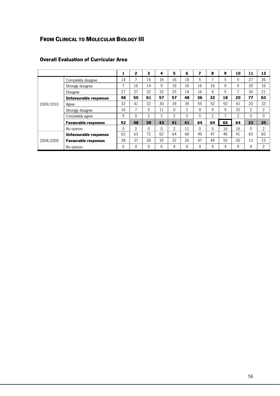# FROM CLINICAL TO MOLECULAR BIOLOGY III

|           |                               | 1              | 2             | 3        | 4              | 5              | 6              | 7            | 8              | 9  | 10             | 11             | 12             |
|-----------|-------------------------------|----------------|---------------|----------|----------------|----------------|----------------|--------------|----------------|----|----------------|----------------|----------------|
|           | Completely disagree           | 14             |               | 16       | 16             | 16             | 18             | 5            |                | 5  | 5              | 27             | 26             |
|           | Strongly disagree             | $\overline{7}$ | 16            | 14       | 9              | 16             | 16             | 16           | 16             | 9  | 9              | 20             | 16             |
|           | Disagree                      | 27             | 27            | 32       | 32             | 25             | 14             | 16           | 9              | 5  | $\overline{ }$ | 30             | 21             |
|           | Unfavourable responses        | 48             | 50            | 61       | 57             | 57             | 48             | 36           | 32             | 18 | 20             | 77             | 63             |
| 2009/2010 | Agree                         | 32             | 41            | 32       | 30             | 39             | 39             | 55           | 52             | 50 | 41             | 20             | 33             |
|           | Strongly disagree             | 16             |               | 5        | 11             | 0              | $\overline{2}$ | 9            | 9              | 9  | 20             | $\overline{2}$ | $\mathfrak{p}$ |
|           | Completely agree              | 5              | $\Omega$      | 2        | $\overline{c}$ | $\overline{2}$ | 0              | $\mathbf{0}$ | $\overline{2}$ | 7  | 2              | $\Omega$       | $\Omega$       |
|           | <b>Favourable responses</b>   | 52             | 48            | 39       | 43             | 41             | 41             | 64           | 64             | 66 | 64             | 23             | 35             |
|           | No opinion                    | $\Omega$       | $\mathcal{P}$ | $\Omega$ | 0              | $\overline{2}$ | 11             | $\Omega$     | 5              | 16 | 16             | $\Omega$       | 2              |
| 2008/2009 | <b>Unfavourable responses</b> | 62             | 63            | 72       | 62             | 64             | 68             | 49           | 47             | 46 | 41             | 83             | 83             |
|           | <b>Favourable responses</b>   | 38             | 37            | 28       | 32             | 32             | 26             | 47           | 49             | 50 | 50             | 13             | 15             |
|           | No opinion                    | $\Omega$       | $\mathbf{0}$  | 0        | 6              | $\overline{4}$ | 6              | 4            | 4              | 4  | 9              | 4              | $\overline{2}$ |